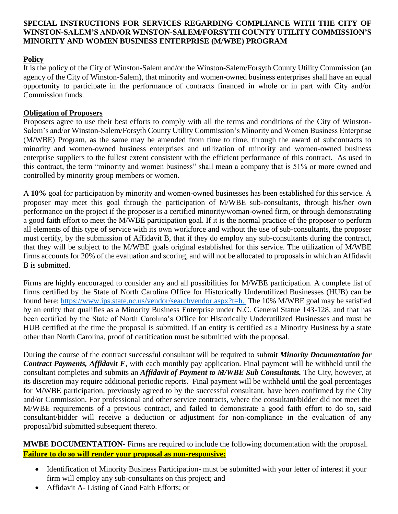## **SPECIAL INSTRUCTIONS FOR SERVICES REGARDING COMPLIANCE WITH THE CITY OF WINSTON-SALEM'S AND/OR WINSTON-SALEM/FORSYTH COUNTY UTILITY COMMISSION'S MINORITY AND WOMEN BUSINESS ENTERPRISE (M/WBE) PROGRAM**

## **Policy**

It is the policy of the City of Winston-Salem and/or the Winston-Salem/Forsyth County Utility Commission (an agency of the City of Winston-Salem), that minority and women-owned business enterprises shall have an equal opportunity to participate in the performance of contracts financed in whole or in part with City and/or Commission funds.

## **Obligation of Proposers**

Proposers agree to use their best efforts to comply with all the terms and conditions of the City of Winston-Salem's and/or Winston-Salem/Forsyth County Utility Commission's Minority and Women Business Enterprise (M/WBE) Program, as the same may be amended from time to time, through the award of subcontracts to minority and women-owned business enterprises and utilization of minority and women-owned business enterprise suppliers to the fullest extent consistent with the efficient performance of this contract. As used in this contract, the term "minority and women business" shall mean a company that is 51% or more owned and controlled by minority group members or women.

A **10%** goal for participation by minority and women-owned businesses has been established for this service. A proposer may meet this goal through the participation of M/WBE sub-consultants, through his/her own performance on the project if the proposer is a certified minority/woman-owned firm, or through demonstrating a good faith effort to meet the M/WBE participation goal. If it is the normal practice of the proposer to perform all elements of this type of service with its own workforce and without the use of sub-consultants, the proposer must certify, by the submission of Affidavit B, that if they do employ any sub-consultants during the contract, that they will be subject to the M/WBE goals original established for this service. The utilization of M/WBE firms accounts for 20% of the evaluation and scoring, and will not be allocated to proposals in which an Affidavit B is submitted.

Firms are highly encouraged to consider any and all possibilities for M/WBE participation. A complete list of firms certified by the State of North Carolina Office for Historically Underutilized Businesses (HUB) can be found here: [https://www.ips.state.nc.us/vendor/searchvendor.aspx?t=h.](https://www.ips.state.nc.us/vendor/searchvendor.aspx?t=h) The 10% M/WBE goal may be satisfied by an entity that qualifies as a Minority Business Enterprise under N.C. General Statue 143-128, and that has been certified by the State of North Carolina's Office for Historically Underutilized Businesses and must be HUB certified at the time the proposal is submitted. If an entity is certified as a Minority Business by a state other than North Carolina, proof of certification must be submitted with the proposal.

During the course of the contract successful consultant will be required to submit *Minority Documentation for Contract Payments, Affidavit F*, with each monthly pay application. Final payment will be withheld until the consultant completes and submits an *Affidavit of Payment to M/WBE Sub Consultants.* The City, however, at its discretion may require additional periodic reports. Final payment will be withheld until the goal percentages for M/WBE participation, previously agreed to by the successful consultant, have been confirmed by the City and/or Commission. For professional and other service contracts, where the consultant/bidder did not meet the M/WBE requirements of a previous contract, and failed to demonstrate a good faith effort to do so, said consultant/bidder will receive a deduction or adjustment for non-compliance in the evaluation of any proposal/bid submitted subsequent thereto.

**MWBE DOCUMENTATION-** Firms are required to include the following documentation with the proposal. **Failure to do so will render your proposal as non-responsive:**

- Identification of Minority Business Participation- must be submitted with your letter of interest if your firm will employ any sub-consultants on this project; and
- Affidavit A- Listing of Good Faith Efforts; or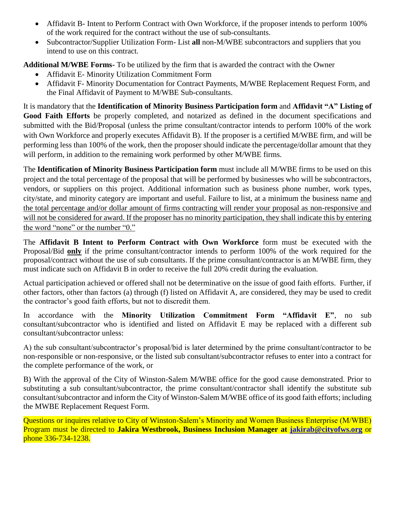- Affidavit B- Intent to Perform Contract with Own Workforce, if the proposer intends to perform 100% of the work required for the contract without the use of sub-consultants.
- Subcontractor/Supplier Utilization Form- List **all** non-M/WBE subcontractors and suppliers that you intend to use on this contract.

**Additional M/WBE Forms-** To be utilized by the firm that is awarded the contract with the Owner

- Affidavit E- Minority Utilization Commitment Form
- Affidavit F- Minority Documentation for Contract Payments, M/WBE Replacement Request Form, and the Final Affidavit of Payment to M/WBE Sub-consultants.

It is mandatory that the **Identification of Minority Business Participation form** and **Affidavit "A" Listing of Good Faith Efforts** be properly completed, and notarized as defined in the document specifications and submitted with the Bid/Proposal (unless the prime consultant/contractor intends to perform 100% of the work with Own Workforce and properly executes Affidavit B). If the proposer is a certified M/WBE firm, and will be performing less than 100% of the work, then the proposer should indicate the percentage/dollar amount that they will perform, in addition to the remaining work performed by other M/WBE firms.

The **Identification of Minority Business Participation form** must include all M/WBE firms to be used on this project and the total percentage of the proposal that will be performed by businesses who will be subcontractors, vendors, or suppliers on this project. Additional information such as business phone number, work types, city/state, and minority category are important and useful. Failure to list, at a minimum the business name and the total percentage and/or dollar amount of firms contracting will render your proposal as non-responsive and will not be considered for award. If the proposer has no minority participation, they shall indicate this by entering the word "none" or the number "0."

The **Affidavit B Intent to Perform Contract with Own Workforce** form must be executed with the Proposal/Bid **only** if the prime consultant/contractor intends to perform 100% of the work required for the proposal/contract without the use of sub consultants. If the prime consultant/contractor is an M/WBE firm, they must indicate such on Affidavit B in order to receive the full 20% credit during the evaluation.

Actual participation achieved or offered shall not be determinative on the issue of good faith efforts. Further, if other factors, other than factors (a) through (f) listed on Affidavit A, are considered, they may be used to credit the contractor's good faith efforts, but not to discredit them.

In accordance with the **Minority Utilization Commitment Form "Affidavit E"**, no sub consultant/subcontractor who is identified and listed on Affidavit E may be replaced with a different sub consultant/subcontractor unless:

A) the sub consultant/subcontractor's proposal/bid is later determined by the prime consultant/contractor to be non-responsible or non-responsive, or the listed sub consultant/subcontractor refuses to enter into a contract for the complete performance of the work, or

B) With the approval of the City of Winston-Salem M/WBE office for the good cause demonstrated. Prior to substituting a sub consultant/subcontractor, the prime consultant/contractor shall identify the substitute sub consultant/subcontractor and inform the City of Winston-Salem M/WBE office of its good faith efforts; including the MWBE Replacement Request Form.

Questions or inquires relative to City of Winston-Salem's Minority and Women Business Enterprise (M/WBE) Program must be directed to **Jakira Westbrook, Business Inclusion Manager at [jakirab@cityofws.org](mailto:jakirab@cityofws.org)** or phone 336-734-1238.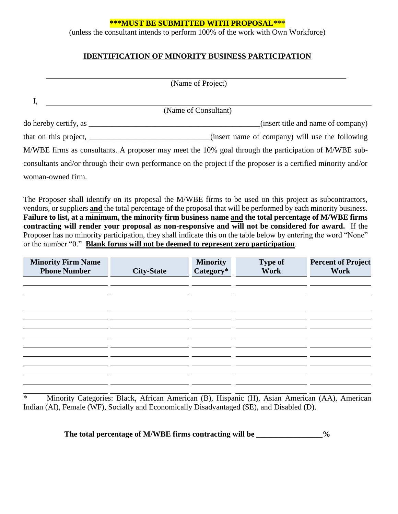#### **\*\*\*MUST BE SUBMITTED WITH PROPOSAL\*\*\***

(unless the consultant intends to perform 100% of the work with Own Workforce)

## **IDENTIFICATION OF MINORITY BUSINESS PARTICIPATION**

|                       | (Name of Project)                                                                                              |
|-----------------------|----------------------------------------------------------------------------------------------------------------|
|                       |                                                                                                                |
|                       | (Name of Consultant)                                                                                           |
| do hereby certify, as | (insert title and name of company)                                                                             |
|                       | (insert name of company) will use the following                                                                |
|                       | M/WBE firms as consultants. A proposer may meet the 10% goal through the participation of M/WBE sub-           |
|                       | consultants and/or through their own performance on the project if the proposer is a certified minority and/or |
| woman-owned firm.     |                                                                                                                |

The Proposer shall identify on its proposal the M/WBE firms to be used on this project as subcontractors, vendors, or suppliers **and** the total percentage of the proposal that will be performed by each minority business. **Failure to list, at a minimum, the minority firm business name and the total percentage of M/WBE firms contracting will render your proposal as non-responsive and will not be considered for award.** If the Proposer has no minority participation, they shall indicate this on the table below by entering the word "None" or the number "0." **Blank forms will not be deemed to represent zero participation**.

| <b>Minority Firm Name</b><br><b>Phone Number</b> | <b>City-State</b> | <b>Minority</b><br>Category* | <b>Type of</b><br>Work | <b>Percent of Project</b><br>Work |
|--------------------------------------------------|-------------------|------------------------------|------------------------|-----------------------------------|
|                                                  |                   |                              |                        |                                   |
|                                                  |                   |                              |                        |                                   |
|                                                  |                   |                              |                        |                                   |
|                                                  |                   |                              |                        |                                   |
|                                                  |                   |                              |                        |                                   |
|                                                  |                   |                              |                        |                                   |
|                                                  |                   |                              |                        |                                   |
|                                                  |                   |                              |                        |                                   |

\* Minority Categories: Black, African American (B), Hispanic (H), Asian American (AA), American Indian (AI), Female (WF), Socially and Economically Disadvantaged (SE), and Disabled (D).

The total percentage of M/WBE firms contracting will be \_\_\_\_\_\_\_\_\_\_\_\_\_\_\_%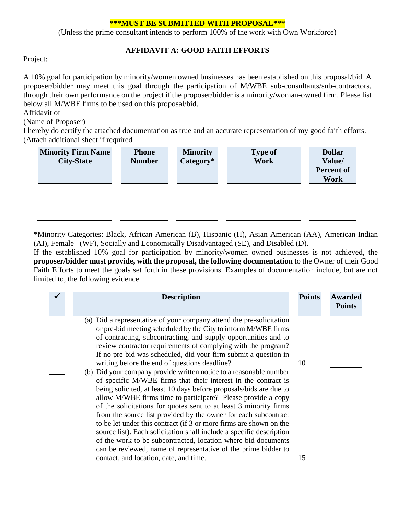#### **\*\*\*MUST BE SUBMITTED WITH PROPOSAL\*\*\***

(Unless the prime consultant intends to perform 100% of the work with Own Workforce)

## **AFFIDAVIT A: GOOD FAITH EFFORTS**

Project: \_\_\_\_\_\_\_\_\_\_\_\_\_\_\_\_\_\_\_\_\_\_\_\_\_\_\_\_\_\_\_\_\_\_\_\_\_\_\_\_\_\_\_\_\_\_\_\_\_\_\_\_\_\_\_\_\_\_\_\_\_\_\_\_\_\_\_\_\_\_\_\_\_\_\_

A 10% goal for participation by minority/women owned businesses has been established on this proposal/bid. A proposer/bidder may meet this goal through the participation of M/WBE sub-consultants/sub-contractors, through their own performance on the project if the proposer/bidder is a minority/woman-owned firm. Please list below all M/WBE firms to be used on this proposal/bid.

Affidavit of

(Name of Proposer)

I hereby do certify the attached documentation as true and an accurate representation of my good faith efforts. (Attach additional sheet if required

| <b>Minority Firm Name</b><br><b>City-State</b> | <b>Phone</b><br><b>Number</b> | <b>Minority</b><br>Category* | <b>Type of</b><br>Work | <b>Dollar</b><br>Value/<br><b>Percent of</b><br>Work |
|------------------------------------------------|-------------------------------|------------------------------|------------------------|------------------------------------------------------|
|                                                |                               |                              |                        |                                                      |
|                                                |                               |                              |                        |                                                      |

\*Minority Categories: Black, African American (B), Hispanic (H), Asian American (AA), American Indian (AI), Female (WF), Socially and Economically Disadvantaged (SE), and Disabled (D).

If the established 10% goal for participation by minority/women owned businesses is not achieved, the **proposer/bidder must provide, with the proposal, the following documentation** to the Owner of their Good Faith Efforts to meet the goals set forth in these provisions. Examples of documentation include, but are not limited to, the following evidence.

| <b>Description</b>                                                                                                                                                                                                                                                                                                                                                                                                                                                                                                                                                                                                                                                                                                                                                                                                                                                                                                                                                                                                                                                                                                                              | <b>Points</b> | <b>Awarded</b><br><b>Points</b> |
|-------------------------------------------------------------------------------------------------------------------------------------------------------------------------------------------------------------------------------------------------------------------------------------------------------------------------------------------------------------------------------------------------------------------------------------------------------------------------------------------------------------------------------------------------------------------------------------------------------------------------------------------------------------------------------------------------------------------------------------------------------------------------------------------------------------------------------------------------------------------------------------------------------------------------------------------------------------------------------------------------------------------------------------------------------------------------------------------------------------------------------------------------|---------------|---------------------------------|
| (a) Did a representative of your company attend the pre-solicitation<br>or pre-bid meeting scheduled by the City to inform M/WBE firms<br>of contracting, subcontracting, and supply opportunities and to<br>review contractor requirements of complying with the program?<br>If no pre-bid was scheduled, did your firm submit a question in<br>writing before the end of questions deadline?<br>(b) Did your company provide written notice to a reasonable number<br>of specific M/WBE firms that their interest in the contract is<br>being solicited, at least 10 days before proposals/bids are due to<br>allow M/WBE firms time to participate? Please provide a copy<br>of the solicitations for quotes sent to at least 3 minority firms<br>from the source list provided by the owner for each subcontract<br>to be let under this contract (if 3 or more firms are shown on the<br>source list). Each solicitation shall include a specific description<br>of the work to be subcontracted, location where bid documents<br>can be reviewed, name of representative of the prime bidder to<br>contact, and location, date, and time. | 10<br>15      |                                 |
|                                                                                                                                                                                                                                                                                                                                                                                                                                                                                                                                                                                                                                                                                                                                                                                                                                                                                                                                                                                                                                                                                                                                                 |               |                                 |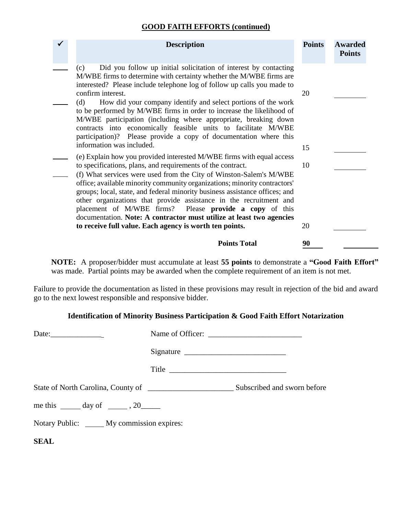## **GOOD FAITH EFFORTS (continued)**

| <b>Description</b>                                                                                                                                                                                                                                                                                                                                                                                                                                                                                                                                                                                                                         | <b>Points</b> | <b>Awarded</b><br><b>Points</b> |
|--------------------------------------------------------------------------------------------------------------------------------------------------------------------------------------------------------------------------------------------------------------------------------------------------------------------------------------------------------------------------------------------------------------------------------------------------------------------------------------------------------------------------------------------------------------------------------------------------------------------------------------------|---------------|---------------------------------|
| Did you follow up initial solicitation of interest by contacting<br>(c)<br>M/WBE firms to determine with certainty whether the M/WBE firms are<br>interested? Please include telephone log of follow up calls you made to<br>confirm interest.<br>How did your company identify and select portions of the work<br>(d)<br>to be performed by M/WBE firms in order to increase the likelihood of<br>M/WBE participation (including where appropriate, breaking down<br>contracts into economically feasible units to facilitate M/WBE<br>participation)? Please provide a copy of documentation where this<br>information was included.     | 20<br>15      |                                 |
| (e) Explain how you provided interested M/WBE firms with equal access<br>to specifications, plans, and requirements of the contract.<br>(f) What services were used from the City of Winston-Salem's M/WBE<br>office; available minority community organizations; minority contractors'<br>groups; local, state, and federal minority business assistance offices; and<br>other organizations that provide assistance in the recruitment and<br>placement of M/WBE firms? Please provide a copy of this<br>documentation. Note: A contractor must utilize at least two agencies<br>to receive full value. Each agency is worth ten points. | 10<br>20      |                                 |
| <b>Points Total</b>                                                                                                                                                                                                                                                                                                                                                                                                                                                                                                                                                                                                                        | 90            |                                 |

**NOTE:** A proposer/bidder must accumulate at least **55 points** to demonstrate a **"Good Faith Effort"** was made. Partial points may be awarded when the complete requirement of an item is not met.

Failure to provide the documentation as listed in these provisions may result in rejection of the bid and award go to the next lowest responsible and responsive bidder.

## **Identification of Minority Business Participation & Good Faith Effort Notarization**

|                                              | Signature |  |
|----------------------------------------------|-----------|--|
|                                              | Title     |  |
|                                              |           |  |
| me this $\_\_\_$ day of $\_\_\_\_$ , 20      |           |  |
| Notary Public: ______ My commission expires: |           |  |
| <b>SEAL</b>                                  |           |  |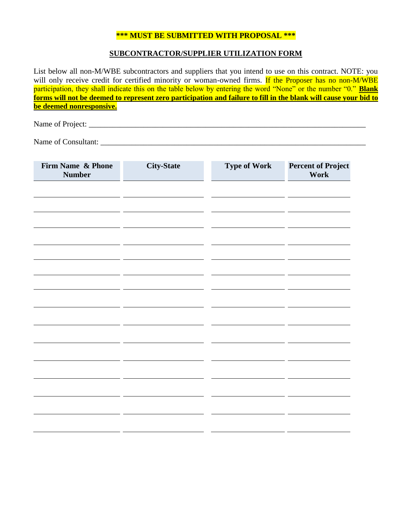#### **\*\*\* MUST BE SUBMITTED WITH PROPOSAL \*\*\***

#### **SUBCONTRACTOR/SUPPLIER UTILIZATION FORM**

List below all non-M/WBE subcontractors and suppliers that you intend to use on this contract. NOTE: you will only receive credit for certified minority or woman-owned firms. If the Proposer has no non-M/WBE participation, they shall indicate this on the table below by entering the word "None" or the number "0." **Blank forms will not be deemed to represent zero participation and failure to fill in the blank will cause your bid to be deemed nonresponsive.**

Name of Project:

Name of Consultant: \_\_\_\_\_\_\_\_\_\_\_\_\_\_\_\_\_\_\_\_\_\_\_\_\_\_\_\_\_\_\_\_\_\_\_\_\_\_\_\_\_\_\_\_\_\_\_\_\_\_\_\_\_\_\_\_\_\_\_\_\_\_\_\_\_\_\_\_

| Firm Name & Phone<br><b>Number</b> | <b>City-State</b> | <b>Type of Work</b> | <b>Percent of Project</b><br>Work |
|------------------------------------|-------------------|---------------------|-----------------------------------|
|                                    |                   |                     |                                   |
|                                    |                   |                     |                                   |
|                                    |                   |                     |                                   |
|                                    |                   |                     |                                   |
|                                    |                   |                     |                                   |
|                                    |                   |                     |                                   |
|                                    |                   |                     |                                   |
|                                    |                   |                     |                                   |
|                                    |                   |                     |                                   |
|                                    |                   |                     |                                   |
|                                    |                   |                     |                                   |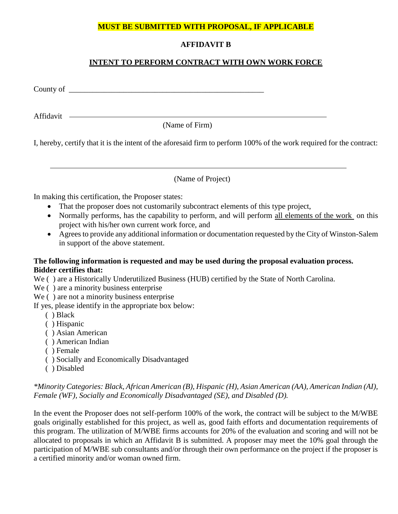# **MUST BE SUBMITTED WITH PROPOSAL, IF APPLICABLE**

# **AFFIDAVIT B**

## **INTENT TO PERFORM CONTRACT WITH OWN WORK FORCE**

County of  $\overline{\phantom{a}}$ 

Affidavit – **Affidavit** – **Affidavit** – **Affidavit** – **Affidavit** – **Affidavit** – **Affidavit** – **Afgine** – **Afgine** – **Afgine** – **Afgine** – **Afgine – Afgine – Afgine – Afgine – Afgine – Afgine – Afgine – Afgine – Afgine –** 

(Name of Firm)

I, hereby, certify that it is the intent of the aforesaid firm to perform 100% of the work required for the contract:

(Name of Project)

In making this certification, the Proposer states:

- That the proposer does not customarily subcontract elements of this type project,
- Normally performs, has the capability to perform, and will perform all elements of the work on this project with his/her own current work force, and
- Agrees to provide any additional information or documentation requested by the City of Winston-Salem in support of the above statement.

#### **The following information is requested and may be used during the proposal evaluation process. Bidder certifies that:**

We () are a Historically Underutilized Business (HUB) certified by the State of North Carolina.

- We () are a minority business enterprise
- We ( ) are not a minority business enterprise

If yes, please identify in the appropriate box below:

- ( ) Black
- ( ) Hispanic
- ( ) Asian American
- ( ) American Indian
- ( ) Female
- ( ) Socially and Economically Disadvantaged
- ( ) Disabled

## *\*Minority Categories: Black, African American (B), Hispanic (H), Asian American (AA), American Indian (AI), Female (WF), Socially and Economically Disadvantaged (SE), and Disabled (D).*

In the event the Proposer does not self-perform 100% of the work, the contract will be subject to the M/WBE goals originally established for this project, as well as, good faith efforts and documentation requirements of this program. The utilization of M/WBE firms accounts for 20% of the evaluation and scoring and will not be allocated to proposals in which an Affidavit B is submitted. A proposer may meet the 10% goal through the participation of M/WBE sub consultants and/or through their own performance on the project if the proposer is a certified minority and/or woman owned firm.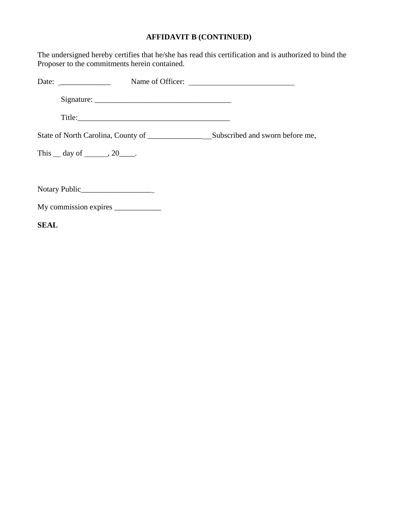# **AFFIDAVIT B (CONTINUED)**

The undersigned hereby certifies that he/she has read this certification and is authorized to bind the Proposer to the commitments herein contained.

| Date: $\frac{1}{\sqrt{1-\frac{1}{2}} \cdot \frac{1}{2}}$ |                                                                                                                                                                                                                                | Name of Officer:                |
|----------------------------------------------------------|--------------------------------------------------------------------------------------------------------------------------------------------------------------------------------------------------------------------------------|---------------------------------|
|                                                          |                                                                                                                                                                                                                                |                                 |
|                                                          | Title: The contract of the contract of the contract of the contract of the contract of the contract of the contract of the contract of the contract of the contract of the contract of the contract of the contract of the con |                                 |
| State of North Carolina, County of _______________       |                                                                                                                                                                                                                                | Subscribed and sworn before me, |
| This $\_\$ day of $\_\_\_\_$ , 20 $\_\_\_\_\$ .          |                                                                                                                                                                                                                                |                                 |
|                                                          |                                                                                                                                                                                                                                |                                 |
|                                                          |                                                                                                                                                                                                                                |                                 |
|                                                          |                                                                                                                                                                                                                                |                                 |
| <b>SEAL</b>                                              |                                                                                                                                                                                                                                |                                 |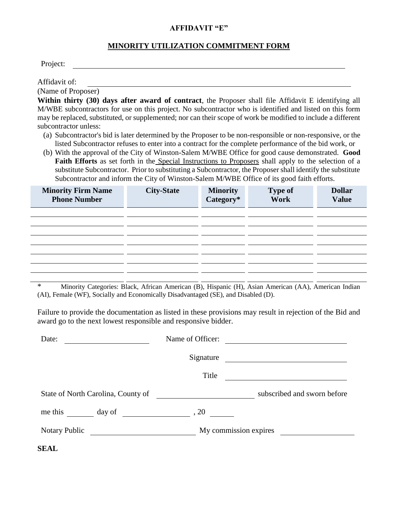#### **AFFIDAVIT "E"**

#### **MINORITY UTILIZATION COMMITMENT FORM**

Project:

Affidavit of:

(Name of Proposer)

**Within thirty (30) days after award of contract**, the Proposer shall file Affidavit E identifying all M/WBE subcontractors for use on this project. No subcontractor who is identified and listed on this form may be replaced, substituted, or supplemented; nor can their scope of work be modified to include a different subcontractor unless:

- (a) Subcontractor's bid is later determined by the Proposer to be non-responsible or non-responsive, or the listed Subcontractor refuses to enter into a contract for the complete performance of the bid work, or
- (b) With the approval of the City of Winston-Salem M/WBE Office for good cause demonstrated. **Good Faith Efforts** as set forth in the Special Instructions to Proposers shall apply to the selection of a substitute Subcontractor. Prior to substituting a Subcontractor, the Proposer shall identify the substitute Subcontractor and inform the City of Winston-Salem M/WBE Office of its good faith efforts.

| <b>Minority Firm Name</b><br><b>Phone Number</b> | <b>City-State</b> | <b>Minority</b><br>Category* | <b>Type of</b><br>Work | <b>Dollar</b><br><b>Value</b> |
|--------------------------------------------------|-------------------|------------------------------|------------------------|-------------------------------|
|                                                  |                   |                              |                        |                               |
|                                                  |                   |                              |                        |                               |
|                                                  |                   |                              |                        |                               |
|                                                  |                   |                              |                        |                               |
|                                                  |                   |                              |                        |                               |
|                                                  |                   |                              |                        |                               |

\* Minority Categories: Black, African American (B), Hispanic (H), Asian American (AA), American Indian (AI), Female (WF), Socially and Economically Disadvantaged (SE), and Disabled (D).

Failure to provide the documentation as listed in these provisions may result in rejection of the Bid and award go to the next lowest responsible and responsive bidder.

| Date:                                                                                                         | Name of Officer:                                                                                                     |                                                            |
|---------------------------------------------------------------------------------------------------------------|----------------------------------------------------------------------------------------------------------------------|------------------------------------------------------------|
|                                                                                                               | Signature                                                                                                            |                                                            |
|                                                                                                               | Title                                                                                                                | <u> 1989 - John Stein, mars and de Brazilian (b. 1989)</u> |
| State of North Carolina, County of                                                                            | <u> 1980 - Jan Stein Stein Stein Stein Stein Stein Stein Stein Stein Stein Stein Stein Stein Stein Stein Stein S</u> | subscribed and sworn before                                |
| me this $\frac{day \text{ of } (x,y) \text{ of } (x,y) \text{ of } (x,y) \text{ of } (x,y) \text{ of } (x,y)$ |                                                                                                                      |                                                            |
| Notary Public                                                                                                 |                                                                                                                      | My commission expires                                      |
| <b>SEAL</b>                                                                                                   |                                                                                                                      |                                                            |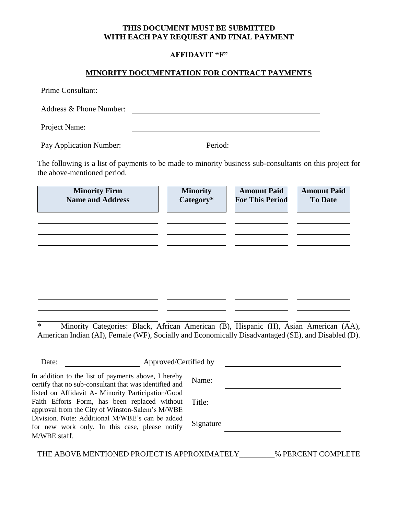#### **THIS DOCUMENT MUST BE SUBMITTED WITH EACH PAY REQUEST AND FINAL PAYMENT**

#### **AFFIDAVIT "F"**

#### **MINORITY DOCUMENTATION FOR CONTRACT PAYMENTS**

| Prime Consultant:       |         |
|-------------------------|---------|
| Address & Phone Number: |         |
| Project Name:           |         |
| Pay Application Number: | Period: |

The following is a list of payments to be made to minority business sub-consultants on this project for the above-mentioned period.

\* Minority Categories: Black, African American (B), Hispanic (H), Asian American (AA), American Indian (AI), Female (WF), Socially and Economically Disadvantaged (SE), and Disabled (D).

| Approved/Certified by<br>Date:                                                                                                                         |           |
|--------------------------------------------------------------------------------------------------------------------------------------------------------|-----------|
| In addition to the list of payments above, I hereby<br>certify that no sub-consultant that was identified and                                          | Name:     |
| listed on Affidavit A- Minority Participation/Good<br>Faith Efforts Form, has been replaced without<br>approval from the City of Winston-Salem's M/WBE | Title:    |
| Division. Note: Additional M/WBE's can be added<br>for new work only. In this case, please notify                                                      | Signature |
| M/WBE staff.                                                                                                                                           |           |

THE ABOVE MENTIONED PROJECT IS APPROXIMATELY\_\_\_\_\_\_\_\_\_% PERCENT COMPLETE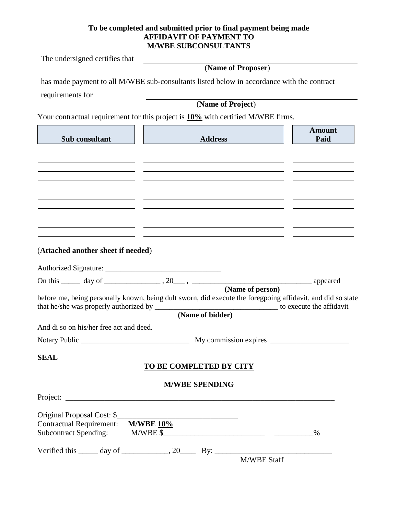#### **To be completed and submitted prior to final payment being made AFFIDAVIT OF PAYMENT TO M/WBE SUBCONSULTANTS**

The undersigned certifies that

# (**Name of Proposer**)

has made payment to all M/WBE sub-consultants listed below in accordance with the contract

requirements for

(**Name of Project**)

Your contractual requirement for this project is **10%** with certified M/WBE firms.

| Sub consultant                                                                  | <b>Address</b>                                                                                                        | <b>Amount</b><br>Paid |
|---------------------------------------------------------------------------------|-----------------------------------------------------------------------------------------------------------------------|-----------------------|
|                                                                                 |                                                                                                                       |                       |
| <u> 1989 - Johann Barnett, fransk kongresu</u>                                  |                                                                                                                       |                       |
|                                                                                 |                                                                                                                       |                       |
|                                                                                 | <u> 1989 - Johann Stein, mars an deutscher Stein († 1908)</u>                                                         |                       |
|                                                                                 | <u> 1989 - Johann Harry Barn, mars ar brening ar yn y brening yn y brening y brening y brening yn y brening y br</u>  |                       |
|                                                                                 | <u> 1989 - Andrea Andrew Maria (h. 1989).</u>                                                                         |                       |
| the contract of the contract of the contract of the contract of the contract of | the contract of the contract of the contract of the contract of the contract of the contract of the contract of       |                       |
|                                                                                 | <u> 1989 - Andrea Santa Alemania, amerikana amerikana amerikana amerikana amerikana amerikana amerikana amerikana</u> |                       |
| (Attached another sheet if needed)                                              | <u> 1989 - Jan Samuel Barbara, margaret eta idazlea (h. 1989).</u>                                                    |                       |
|                                                                                 |                                                                                                                       |                       |
|                                                                                 |                                                                                                                       |                       |
|                                                                                 | (Name of person)                                                                                                      |                       |
|                                                                                 | before me, being personally known, being dult sworn, did execute the foregpoing affidavit, and did so state           |                       |
|                                                                                 | (Name of bidder)                                                                                                      |                       |
| And di so on his/her free act and deed.                                         |                                                                                                                       |                       |
|                                                                                 |                                                                                                                       |                       |
|                                                                                 |                                                                                                                       |                       |
| <b>SEAL</b>                                                                     | TO BE COMPLETED BY CITY                                                                                               |                       |
|                                                                                 |                                                                                                                       |                       |
|                                                                                 | <b>M/WBE SPENDING</b>                                                                                                 |                       |
|                                                                                 |                                                                                                                       |                       |
| Original Proposal Cost: \$                                                      |                                                                                                                       |                       |
| <b>Contractual Requirement:</b>                                                 | <b>M/WBE 10%</b>                                                                                                      |                       |
| <b>Subcontract Spending:</b>                                                    | $M/WBE$ \$                                                                                                            | $\%$                  |
|                                                                                 | Verified this $\_\_\_\_$ day of $\_\_\_\_\_$ , 20 $\_\_\_\_$ By: $\_\_\_\_\_\_\_\_\_$                                 |                       |
|                                                                                 | M/WBE Staff                                                                                                           |                       |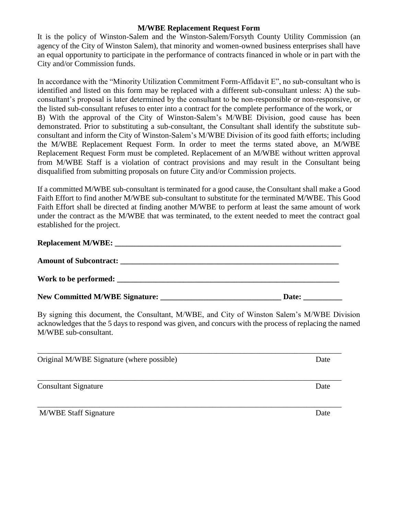#### **M/WBE Replacement Request Form**

It is the policy of Winston-Salem and the Winston-Salem/Forsyth County Utility Commission (an agency of the City of Winston Salem), that minority and women-owned business enterprises shall have an equal opportunity to participate in the performance of contracts financed in whole or in part with the City and/or Commission funds.

In accordance with the "Minority Utilization Commitment Form-Affidavit E", no sub-consultant who is identified and listed on this form may be replaced with a different sub-consultant unless: A) the subconsultant's proposal is later determined by the consultant to be non-responsible or non-responsive, or the listed sub-consultant refuses to enter into a contract for the complete performance of the work, or B) With the approval of the City of Winston-Salem's M/WBE Division, good cause has been demonstrated. Prior to substituting a sub-consultant, the Consultant shall identify the substitute subconsultant and inform the City of Winston-Salem's M/WBE Division of its good faith efforts; including the M/WBE Replacement Request Form. In order to meet the terms stated above, an M/WBE Replacement Request Form must be completed. Replacement of an M/WBE without written approval from M/WBE Staff is a violation of contract provisions and may result in the Consultant being disqualified from submitting proposals on future City and/or Commission projects.

If a committed M/WBE sub-consultant is terminated for a good cause, the Consultant shall make a Good Faith Effort to find another M/WBE sub-consultant to substitute for the terminated M/WBE. This Good Faith Effort shall be directed at finding another M/WBE to perform at least the same amount of work under the contract as the M/WBE that was terminated, to the extent needed to meet the contract goal established for the project.

# Replacement M/WBE:

| <b>Amount of Subcontract:</b>         |       |
|---------------------------------------|-------|
| Work to be performed:                 |       |
| <b>New Committed M/WBE Signature:</b> | Date: |

By signing this document, the Consultant, M/WBE, and City of Winston Salem's M/WBE Division acknowledges that the 5 days to respond was given, and concurs with the process of replacing the named M/WBE sub-consultant.

| Original M/WBE Signature (where possible) | Date |
|-------------------------------------------|------|
| <b>Consultant Signature</b>               | Date |
| <b>M/WBE Staff Signature</b>              | Date |